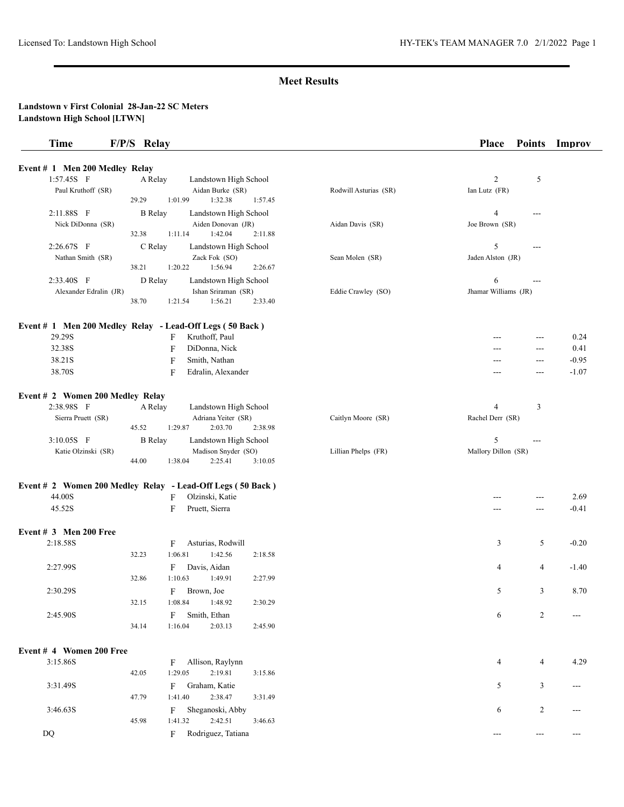| Event # 1 Men 200 Medley Relay<br>1:57.45S F<br>$\overline{c}$<br>5<br>Landstown High School<br>A Relay<br>Paul Kruthoff (SR)<br>Aidan Burke (SR)<br>Rodwill Asturias (SR)<br>Ian Lutz (FR)<br>1:32.38<br>29.29<br>1:01.99<br>1:57.45<br>2:11.88S F<br><b>B</b> Relay<br>Landstown High School<br>$\overline{4}$<br>$---$<br>Nick DiDonna (SR)<br>Aiden Donovan (JR)<br>Aidan Davis (SR)<br>Joe Brown (SR)<br>1:11.14<br>1:42.04<br>32.38<br>2:11.88<br>5<br>2:26.67S F<br>C Relay<br>Landstown High School<br>$---$<br>Zack Fok (SO)<br>Jaden Alston (JR)<br>Nathan Smith (SR)<br>Sean Molen (SR)<br>38.21<br>1:20.22<br>1:56.94<br>2:26.67<br>2:33.40S F<br>D Relay<br>6<br>Landstown High School<br>---<br>Jhamar Williams (JR)<br>Alexander Edralin (JR)<br>Ishan Sriraman (SR)<br>Eddie Crawley (SO)<br>1:56.21<br>38.70<br>1:21.54<br>2:33.40<br>Event # 1 Men 200 Medley Relay - Lead-Off Legs (50 Back)<br>29.29S<br>Kruthoff, Paul<br>F<br>0.24<br>---<br>32.38S<br>F<br>DiDonna, Nick<br>0.41<br>$---$<br>---<br>38.21S<br>F<br>Smith, Nathan<br>$-0.95$<br>$---$<br>38.70S<br>F<br>Edralin, Alexander<br>$-1.07$<br>---<br>$---$<br>Event # 2 Women 200 Medley Relay<br>2:38.98S F<br>$\overline{4}$<br>3<br>A Relay<br>Landstown High School<br>Adriana Yeiter (SR)<br>Sierra Pruett (SR)<br>Caitlyn Moore (SR)<br>Rachel Derr (SR)<br>45.52<br>1:29.87<br>2:03.70<br>2:38.98<br>5<br>3:10.05S F<br><b>B</b> Relay<br>Landstown High School<br>$\overline{a}$<br>Mallory Dillon (SR)<br>Madison Snyder (SO)<br>Katie Olzinski (SR)<br>Lillian Phelps (FR)<br>1:38.04<br>2:25.41<br>44.00<br>3:10.05<br>Event # 2 Women 200 Medley Relay - Lead-Off Legs (50 Back)<br>44.00S<br>Olzinski, Katie<br>2.69<br>F<br>---<br>45.52S<br>F<br>Pruett, Sierra<br>$-0.41$<br>---<br>---<br>2:18.58S<br>Asturias, Rodwill<br>5<br>F<br>3<br>$-0.20$<br>32.23<br>1:06.81<br>1:42.56<br>2:18.58<br>2:27.99S<br>Davis, Aidan<br>F<br>4<br>$-1.40$<br>4<br>1:10.63<br>1:49.91<br>32.86<br>2:27.99<br>2:30.29S<br>F<br>Brown, Joe<br>5<br>3<br>8.70<br>1:08.84<br>1:48.92<br>32.15<br>2:30.29<br>2:45.90S<br>F<br>Smith, Ethan<br>6<br>2<br>34.14<br>1:16.04<br>2:03.13<br>2:45.90<br>Event # 4 Women 200 Free<br>3:15.86S<br>Allison, Raylynn<br>4<br>4.29<br>4<br>F<br>42.05<br>1:29.05<br>2:19.81<br>3:15.86<br>3<br>3:31.49S<br>F<br>Graham, Katie<br>5<br>---<br>1:41.40<br>2:38.47<br>47.79<br>3:31.49<br>$\overline{2}$<br>3:46.63S<br>Sheganoski, Abby<br>F<br>6<br>---<br>45.98<br>1:41.32<br>2:42.51<br>3:46.63<br>Rodriguez, Tatiana<br>$\mathbf{D}\mathbf{Q}$<br>F<br>---<br>$---$<br>--- | <b>Time</b>              | F/P/S Relay | Place<br><b>Points</b><br>Improv |
|--------------------------------------------------------------------------------------------------------------------------------------------------------------------------------------------------------------------------------------------------------------------------------------------------------------------------------------------------------------------------------------------------------------------------------------------------------------------------------------------------------------------------------------------------------------------------------------------------------------------------------------------------------------------------------------------------------------------------------------------------------------------------------------------------------------------------------------------------------------------------------------------------------------------------------------------------------------------------------------------------------------------------------------------------------------------------------------------------------------------------------------------------------------------------------------------------------------------------------------------------------------------------------------------------------------------------------------------------------------------------------------------------------------------------------------------------------------------------------------------------------------------------------------------------------------------------------------------------------------------------------------------------------------------------------------------------------------------------------------------------------------------------------------------------------------------------------------------------------------------------------------------------------------------------------------------------------------------------------------------------------------------------------------------------------------------------------------------------------------------------------------------------------------------------------------------------------------------------------------------------------------------------------------------------------------------------------------------------------------------------------------------------------------------------------------------------------------------------------------------------------------------------------------------------------------------------------------------------|--------------------------|-------------|----------------------------------|
|                                                                                                                                                                                                                                                                                                                                                                                                                                                                                                                                                                                                                                                                                                                                                                                                                                                                                                                                                                                                                                                                                                                                                                                                                                                                                                                                                                                                                                                                                                                                                                                                                                                                                                                                                                                                                                                                                                                                                                                                                                                                                                                                                                                                                                                                                                                                                                                                                                                                                                                                                                                                  |                          |             |                                  |
|                                                                                                                                                                                                                                                                                                                                                                                                                                                                                                                                                                                                                                                                                                                                                                                                                                                                                                                                                                                                                                                                                                                                                                                                                                                                                                                                                                                                                                                                                                                                                                                                                                                                                                                                                                                                                                                                                                                                                                                                                                                                                                                                                                                                                                                                                                                                                                                                                                                                                                                                                                                                  |                          |             |                                  |
|                                                                                                                                                                                                                                                                                                                                                                                                                                                                                                                                                                                                                                                                                                                                                                                                                                                                                                                                                                                                                                                                                                                                                                                                                                                                                                                                                                                                                                                                                                                                                                                                                                                                                                                                                                                                                                                                                                                                                                                                                                                                                                                                                                                                                                                                                                                                                                                                                                                                                                                                                                                                  |                          |             |                                  |
|                                                                                                                                                                                                                                                                                                                                                                                                                                                                                                                                                                                                                                                                                                                                                                                                                                                                                                                                                                                                                                                                                                                                                                                                                                                                                                                                                                                                                                                                                                                                                                                                                                                                                                                                                                                                                                                                                                                                                                                                                                                                                                                                                                                                                                                                                                                                                                                                                                                                                                                                                                                                  |                          |             |                                  |
|                                                                                                                                                                                                                                                                                                                                                                                                                                                                                                                                                                                                                                                                                                                                                                                                                                                                                                                                                                                                                                                                                                                                                                                                                                                                                                                                                                                                                                                                                                                                                                                                                                                                                                                                                                                                                                                                                                                                                                                                                                                                                                                                                                                                                                                                                                                                                                                                                                                                                                                                                                                                  |                          |             |                                  |
|                                                                                                                                                                                                                                                                                                                                                                                                                                                                                                                                                                                                                                                                                                                                                                                                                                                                                                                                                                                                                                                                                                                                                                                                                                                                                                                                                                                                                                                                                                                                                                                                                                                                                                                                                                                                                                                                                                                                                                                                                                                                                                                                                                                                                                                                                                                                                                                                                                                                                                                                                                                                  |                          |             |                                  |
|                                                                                                                                                                                                                                                                                                                                                                                                                                                                                                                                                                                                                                                                                                                                                                                                                                                                                                                                                                                                                                                                                                                                                                                                                                                                                                                                                                                                                                                                                                                                                                                                                                                                                                                                                                                                                                                                                                                                                                                                                                                                                                                                                                                                                                                                                                                                                                                                                                                                                                                                                                                                  |                          |             |                                  |
|                                                                                                                                                                                                                                                                                                                                                                                                                                                                                                                                                                                                                                                                                                                                                                                                                                                                                                                                                                                                                                                                                                                                                                                                                                                                                                                                                                                                                                                                                                                                                                                                                                                                                                                                                                                                                                                                                                                                                                                                                                                                                                                                                                                                                                                                                                                                                                                                                                                                                                                                                                                                  |                          |             |                                  |
|                                                                                                                                                                                                                                                                                                                                                                                                                                                                                                                                                                                                                                                                                                                                                                                                                                                                                                                                                                                                                                                                                                                                                                                                                                                                                                                                                                                                                                                                                                                                                                                                                                                                                                                                                                                                                                                                                                                                                                                                                                                                                                                                                                                                                                                                                                                                                                                                                                                                                                                                                                                                  |                          |             |                                  |
|                                                                                                                                                                                                                                                                                                                                                                                                                                                                                                                                                                                                                                                                                                                                                                                                                                                                                                                                                                                                                                                                                                                                                                                                                                                                                                                                                                                                                                                                                                                                                                                                                                                                                                                                                                                                                                                                                                                                                                                                                                                                                                                                                                                                                                                                                                                                                                                                                                                                                                                                                                                                  |                          |             |                                  |
|                                                                                                                                                                                                                                                                                                                                                                                                                                                                                                                                                                                                                                                                                                                                                                                                                                                                                                                                                                                                                                                                                                                                                                                                                                                                                                                                                                                                                                                                                                                                                                                                                                                                                                                                                                                                                                                                                                                                                                                                                                                                                                                                                                                                                                                                                                                                                                                                                                                                                                                                                                                                  |                          |             |                                  |
|                                                                                                                                                                                                                                                                                                                                                                                                                                                                                                                                                                                                                                                                                                                                                                                                                                                                                                                                                                                                                                                                                                                                                                                                                                                                                                                                                                                                                                                                                                                                                                                                                                                                                                                                                                                                                                                                                                                                                                                                                                                                                                                                                                                                                                                                                                                                                                                                                                                                                                                                                                                                  |                          |             |                                  |
|                                                                                                                                                                                                                                                                                                                                                                                                                                                                                                                                                                                                                                                                                                                                                                                                                                                                                                                                                                                                                                                                                                                                                                                                                                                                                                                                                                                                                                                                                                                                                                                                                                                                                                                                                                                                                                                                                                                                                                                                                                                                                                                                                                                                                                                                                                                                                                                                                                                                                                                                                                                                  |                          |             |                                  |
|                                                                                                                                                                                                                                                                                                                                                                                                                                                                                                                                                                                                                                                                                                                                                                                                                                                                                                                                                                                                                                                                                                                                                                                                                                                                                                                                                                                                                                                                                                                                                                                                                                                                                                                                                                                                                                                                                                                                                                                                                                                                                                                                                                                                                                                                                                                                                                                                                                                                                                                                                                                                  |                          |             |                                  |
|                                                                                                                                                                                                                                                                                                                                                                                                                                                                                                                                                                                                                                                                                                                                                                                                                                                                                                                                                                                                                                                                                                                                                                                                                                                                                                                                                                                                                                                                                                                                                                                                                                                                                                                                                                                                                                                                                                                                                                                                                                                                                                                                                                                                                                                                                                                                                                                                                                                                                                                                                                                                  |                          |             |                                  |
|                                                                                                                                                                                                                                                                                                                                                                                                                                                                                                                                                                                                                                                                                                                                                                                                                                                                                                                                                                                                                                                                                                                                                                                                                                                                                                                                                                                                                                                                                                                                                                                                                                                                                                                                                                                                                                                                                                                                                                                                                                                                                                                                                                                                                                                                                                                                                                                                                                                                                                                                                                                                  |                          |             |                                  |
|                                                                                                                                                                                                                                                                                                                                                                                                                                                                                                                                                                                                                                                                                                                                                                                                                                                                                                                                                                                                                                                                                                                                                                                                                                                                                                                                                                                                                                                                                                                                                                                                                                                                                                                                                                                                                                                                                                                                                                                                                                                                                                                                                                                                                                                                                                                                                                                                                                                                                                                                                                                                  |                          |             |                                  |
|                                                                                                                                                                                                                                                                                                                                                                                                                                                                                                                                                                                                                                                                                                                                                                                                                                                                                                                                                                                                                                                                                                                                                                                                                                                                                                                                                                                                                                                                                                                                                                                                                                                                                                                                                                                                                                                                                                                                                                                                                                                                                                                                                                                                                                                                                                                                                                                                                                                                                                                                                                                                  |                          |             |                                  |
|                                                                                                                                                                                                                                                                                                                                                                                                                                                                                                                                                                                                                                                                                                                                                                                                                                                                                                                                                                                                                                                                                                                                                                                                                                                                                                                                                                                                                                                                                                                                                                                                                                                                                                                                                                                                                                                                                                                                                                                                                                                                                                                                                                                                                                                                                                                                                                                                                                                                                                                                                                                                  |                          |             |                                  |
|                                                                                                                                                                                                                                                                                                                                                                                                                                                                                                                                                                                                                                                                                                                                                                                                                                                                                                                                                                                                                                                                                                                                                                                                                                                                                                                                                                                                                                                                                                                                                                                                                                                                                                                                                                                                                                                                                                                                                                                                                                                                                                                                                                                                                                                                                                                                                                                                                                                                                                                                                                                                  |                          |             |                                  |
|                                                                                                                                                                                                                                                                                                                                                                                                                                                                                                                                                                                                                                                                                                                                                                                                                                                                                                                                                                                                                                                                                                                                                                                                                                                                                                                                                                                                                                                                                                                                                                                                                                                                                                                                                                                                                                                                                                                                                                                                                                                                                                                                                                                                                                                                                                                                                                                                                                                                                                                                                                                                  |                          |             |                                  |
|                                                                                                                                                                                                                                                                                                                                                                                                                                                                                                                                                                                                                                                                                                                                                                                                                                                                                                                                                                                                                                                                                                                                                                                                                                                                                                                                                                                                                                                                                                                                                                                                                                                                                                                                                                                                                                                                                                                                                                                                                                                                                                                                                                                                                                                                                                                                                                                                                                                                                                                                                                                                  |                          |             |                                  |
|                                                                                                                                                                                                                                                                                                                                                                                                                                                                                                                                                                                                                                                                                                                                                                                                                                                                                                                                                                                                                                                                                                                                                                                                                                                                                                                                                                                                                                                                                                                                                                                                                                                                                                                                                                                                                                                                                                                                                                                                                                                                                                                                                                                                                                                                                                                                                                                                                                                                                                                                                                                                  |                          |             |                                  |
|                                                                                                                                                                                                                                                                                                                                                                                                                                                                                                                                                                                                                                                                                                                                                                                                                                                                                                                                                                                                                                                                                                                                                                                                                                                                                                                                                                                                                                                                                                                                                                                                                                                                                                                                                                                                                                                                                                                                                                                                                                                                                                                                                                                                                                                                                                                                                                                                                                                                                                                                                                                                  |                          |             |                                  |
|                                                                                                                                                                                                                                                                                                                                                                                                                                                                                                                                                                                                                                                                                                                                                                                                                                                                                                                                                                                                                                                                                                                                                                                                                                                                                                                                                                                                                                                                                                                                                                                                                                                                                                                                                                                                                                                                                                                                                                                                                                                                                                                                                                                                                                                                                                                                                                                                                                                                                                                                                                                                  |                          |             |                                  |
|                                                                                                                                                                                                                                                                                                                                                                                                                                                                                                                                                                                                                                                                                                                                                                                                                                                                                                                                                                                                                                                                                                                                                                                                                                                                                                                                                                                                                                                                                                                                                                                                                                                                                                                                                                                                                                                                                                                                                                                                                                                                                                                                                                                                                                                                                                                                                                                                                                                                                                                                                                                                  |                          |             |                                  |
|                                                                                                                                                                                                                                                                                                                                                                                                                                                                                                                                                                                                                                                                                                                                                                                                                                                                                                                                                                                                                                                                                                                                                                                                                                                                                                                                                                                                                                                                                                                                                                                                                                                                                                                                                                                                                                                                                                                                                                                                                                                                                                                                                                                                                                                                                                                                                                                                                                                                                                                                                                                                  |                          |             |                                  |
|                                                                                                                                                                                                                                                                                                                                                                                                                                                                                                                                                                                                                                                                                                                                                                                                                                                                                                                                                                                                                                                                                                                                                                                                                                                                                                                                                                                                                                                                                                                                                                                                                                                                                                                                                                                                                                                                                                                                                                                                                                                                                                                                                                                                                                                                                                                                                                                                                                                                                                                                                                                                  |                          |             |                                  |
|                                                                                                                                                                                                                                                                                                                                                                                                                                                                                                                                                                                                                                                                                                                                                                                                                                                                                                                                                                                                                                                                                                                                                                                                                                                                                                                                                                                                                                                                                                                                                                                                                                                                                                                                                                                                                                                                                                                                                                                                                                                                                                                                                                                                                                                                                                                                                                                                                                                                                                                                                                                                  |                          |             |                                  |
|                                                                                                                                                                                                                                                                                                                                                                                                                                                                                                                                                                                                                                                                                                                                                                                                                                                                                                                                                                                                                                                                                                                                                                                                                                                                                                                                                                                                                                                                                                                                                                                                                                                                                                                                                                                                                                                                                                                                                                                                                                                                                                                                                                                                                                                                                                                                                                                                                                                                                                                                                                                                  |                          |             |                                  |
|                                                                                                                                                                                                                                                                                                                                                                                                                                                                                                                                                                                                                                                                                                                                                                                                                                                                                                                                                                                                                                                                                                                                                                                                                                                                                                                                                                                                                                                                                                                                                                                                                                                                                                                                                                                                                                                                                                                                                                                                                                                                                                                                                                                                                                                                                                                                                                                                                                                                                                                                                                                                  | Event $# 3$ Men 200 Free |             |                                  |
|                                                                                                                                                                                                                                                                                                                                                                                                                                                                                                                                                                                                                                                                                                                                                                                                                                                                                                                                                                                                                                                                                                                                                                                                                                                                                                                                                                                                                                                                                                                                                                                                                                                                                                                                                                                                                                                                                                                                                                                                                                                                                                                                                                                                                                                                                                                                                                                                                                                                                                                                                                                                  |                          |             |                                  |
|                                                                                                                                                                                                                                                                                                                                                                                                                                                                                                                                                                                                                                                                                                                                                                                                                                                                                                                                                                                                                                                                                                                                                                                                                                                                                                                                                                                                                                                                                                                                                                                                                                                                                                                                                                                                                                                                                                                                                                                                                                                                                                                                                                                                                                                                                                                                                                                                                                                                                                                                                                                                  |                          |             |                                  |
|                                                                                                                                                                                                                                                                                                                                                                                                                                                                                                                                                                                                                                                                                                                                                                                                                                                                                                                                                                                                                                                                                                                                                                                                                                                                                                                                                                                                                                                                                                                                                                                                                                                                                                                                                                                                                                                                                                                                                                                                                                                                                                                                                                                                                                                                                                                                                                                                                                                                                                                                                                                                  |                          |             |                                  |
|                                                                                                                                                                                                                                                                                                                                                                                                                                                                                                                                                                                                                                                                                                                                                                                                                                                                                                                                                                                                                                                                                                                                                                                                                                                                                                                                                                                                                                                                                                                                                                                                                                                                                                                                                                                                                                                                                                                                                                                                                                                                                                                                                                                                                                                                                                                                                                                                                                                                                                                                                                                                  |                          |             |                                  |
|                                                                                                                                                                                                                                                                                                                                                                                                                                                                                                                                                                                                                                                                                                                                                                                                                                                                                                                                                                                                                                                                                                                                                                                                                                                                                                                                                                                                                                                                                                                                                                                                                                                                                                                                                                                                                                                                                                                                                                                                                                                                                                                                                                                                                                                                                                                                                                                                                                                                                                                                                                                                  |                          |             |                                  |
|                                                                                                                                                                                                                                                                                                                                                                                                                                                                                                                                                                                                                                                                                                                                                                                                                                                                                                                                                                                                                                                                                                                                                                                                                                                                                                                                                                                                                                                                                                                                                                                                                                                                                                                                                                                                                                                                                                                                                                                                                                                                                                                                                                                                                                                                                                                                                                                                                                                                                                                                                                                                  |                          |             |                                  |
|                                                                                                                                                                                                                                                                                                                                                                                                                                                                                                                                                                                                                                                                                                                                                                                                                                                                                                                                                                                                                                                                                                                                                                                                                                                                                                                                                                                                                                                                                                                                                                                                                                                                                                                                                                                                                                                                                                                                                                                                                                                                                                                                                                                                                                                                                                                                                                                                                                                                                                                                                                                                  |                          |             |                                  |
|                                                                                                                                                                                                                                                                                                                                                                                                                                                                                                                                                                                                                                                                                                                                                                                                                                                                                                                                                                                                                                                                                                                                                                                                                                                                                                                                                                                                                                                                                                                                                                                                                                                                                                                                                                                                                                                                                                                                                                                                                                                                                                                                                                                                                                                                                                                                                                                                                                                                                                                                                                                                  |                          |             |                                  |
|                                                                                                                                                                                                                                                                                                                                                                                                                                                                                                                                                                                                                                                                                                                                                                                                                                                                                                                                                                                                                                                                                                                                                                                                                                                                                                                                                                                                                                                                                                                                                                                                                                                                                                                                                                                                                                                                                                                                                                                                                                                                                                                                                                                                                                                                                                                                                                                                                                                                                                                                                                                                  |                          |             |                                  |
|                                                                                                                                                                                                                                                                                                                                                                                                                                                                                                                                                                                                                                                                                                                                                                                                                                                                                                                                                                                                                                                                                                                                                                                                                                                                                                                                                                                                                                                                                                                                                                                                                                                                                                                                                                                                                                                                                                                                                                                                                                                                                                                                                                                                                                                                                                                                                                                                                                                                                                                                                                                                  |                          |             |                                  |
|                                                                                                                                                                                                                                                                                                                                                                                                                                                                                                                                                                                                                                                                                                                                                                                                                                                                                                                                                                                                                                                                                                                                                                                                                                                                                                                                                                                                                                                                                                                                                                                                                                                                                                                                                                                                                                                                                                                                                                                                                                                                                                                                                                                                                                                                                                                                                                                                                                                                                                                                                                                                  |                          |             |                                  |
|                                                                                                                                                                                                                                                                                                                                                                                                                                                                                                                                                                                                                                                                                                                                                                                                                                                                                                                                                                                                                                                                                                                                                                                                                                                                                                                                                                                                                                                                                                                                                                                                                                                                                                                                                                                                                                                                                                                                                                                                                                                                                                                                                                                                                                                                                                                                                                                                                                                                                                                                                                                                  |                          |             |                                  |
|                                                                                                                                                                                                                                                                                                                                                                                                                                                                                                                                                                                                                                                                                                                                                                                                                                                                                                                                                                                                                                                                                                                                                                                                                                                                                                                                                                                                                                                                                                                                                                                                                                                                                                                                                                                                                                                                                                                                                                                                                                                                                                                                                                                                                                                                                                                                                                                                                                                                                                                                                                                                  |                          |             |                                  |
|                                                                                                                                                                                                                                                                                                                                                                                                                                                                                                                                                                                                                                                                                                                                                                                                                                                                                                                                                                                                                                                                                                                                                                                                                                                                                                                                                                                                                                                                                                                                                                                                                                                                                                                                                                                                                                                                                                                                                                                                                                                                                                                                                                                                                                                                                                                                                                                                                                                                                                                                                                                                  |                          |             |                                  |
|                                                                                                                                                                                                                                                                                                                                                                                                                                                                                                                                                                                                                                                                                                                                                                                                                                                                                                                                                                                                                                                                                                                                                                                                                                                                                                                                                                                                                                                                                                                                                                                                                                                                                                                                                                                                                                                                                                                                                                                                                                                                                                                                                                                                                                                                                                                                                                                                                                                                                                                                                                                                  |                          |             |                                  |
|                                                                                                                                                                                                                                                                                                                                                                                                                                                                                                                                                                                                                                                                                                                                                                                                                                                                                                                                                                                                                                                                                                                                                                                                                                                                                                                                                                                                                                                                                                                                                                                                                                                                                                                                                                                                                                                                                                                                                                                                                                                                                                                                                                                                                                                                                                                                                                                                                                                                                                                                                                                                  |                          |             |                                  |
|                                                                                                                                                                                                                                                                                                                                                                                                                                                                                                                                                                                                                                                                                                                                                                                                                                                                                                                                                                                                                                                                                                                                                                                                                                                                                                                                                                                                                                                                                                                                                                                                                                                                                                                                                                                                                                                                                                                                                                                                                                                                                                                                                                                                                                                                                                                                                                                                                                                                                                                                                                                                  |                          |             |                                  |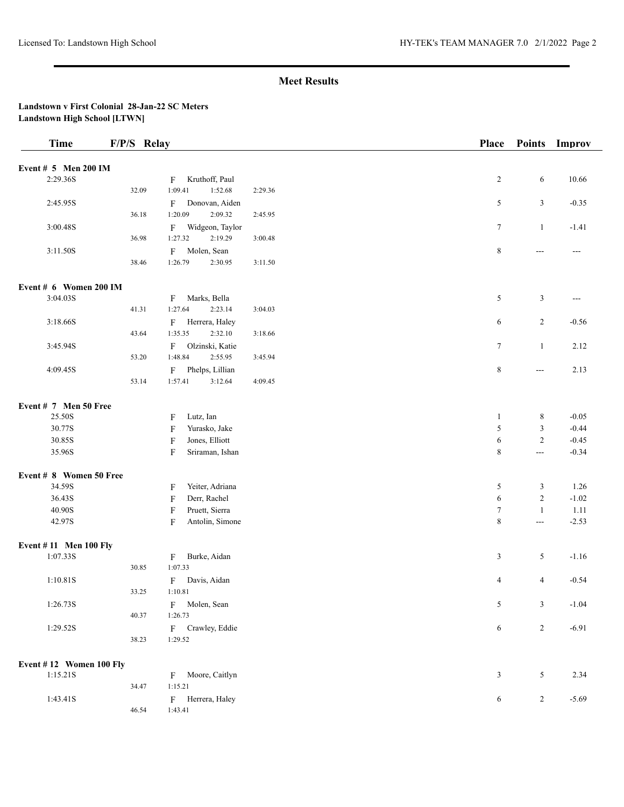| <b>Time</b>                  | F/P/S Relay |                                             |         | <b>Place</b>   | <b>Points</b>  | Improv  |
|------------------------------|-------------|---------------------------------------------|---------|----------------|----------------|---------|
| Event $# 5$ Men 200 IM       |             |                                             |         |                |                |         |
|                              |             |                                             |         |                |                |         |
| 2:29.36S                     |             | Kruthoff, Paul<br>F                         |         | $\overline{c}$ | 6              | 10.66   |
|                              | 32.09       | 1:09.41<br>1:52.68                          | 2:29.36 |                |                |         |
| 2:45.95S                     |             | Donovan, Aiden<br>$\mathbf{F}$              |         | 5              | $\mathfrak{Z}$ | $-0.35$ |
|                              | 36.18       | 1:20.09<br>2:09.32                          | 2:45.95 |                |                |         |
| 3:00.48S                     |             | Widgeon, Taylor<br>F                        |         | $\tau$         | $\mathbf{1}$   | $-1.41$ |
|                              | 36.98       | 1:27.32<br>2:19.29                          | 3:00.48 |                |                |         |
| 3:11.50S                     |             | F<br>Molen, Sean                            |         | $\,8\,$        | $--$           | $---$   |
|                              | 38.46       | 1:26.79<br>2:30.95                          | 3:11.50 |                |                |         |
| Event # 6 Women 200 IM       |             |                                             |         |                |                |         |
| 3:04.03S                     |             | Marks, Bella<br>$_{\rm F}$                  |         | 5              | $\mathfrak{Z}$ | $---$   |
|                              | 41.31       | 1:27.64<br>2:23.14                          | 3:04.03 |                |                |         |
| 3:18.66S                     |             | F<br>Herrera, Haley                         |         | 6              | $\overline{c}$ | $-0.56$ |
|                              | 43.64       | 1:35.35<br>2:32.10                          | 3:18.66 |                |                |         |
| 3:45.94S                     |             | Olzinski, Katie<br>F                        |         | $\tau$         | $\mathbf{1}$   | 2.12    |
|                              | 53.20       | 1:48.84<br>2:55.95                          | 3:45.94 |                |                |         |
| 4:09.45S                     |             | Phelps, Lillian<br>F                        |         | $\,8\,$        | $\sim$ $\sim$  | 2.13    |
|                              | 53.14       | 1:57.41<br>3:12.64                          | 4:09.45 |                |                |         |
|                              |             |                                             |         |                |                |         |
| Event # 7 Men 50 Free        |             |                                             |         |                |                |         |
| 25.50S                       |             | Lutz, Ian<br>F                              |         | $\mathbf{1}$   | 8              | $-0.05$ |
| 30.77S                       |             | F<br>Yurasko, Jake                          |         | $\sqrt{5}$     | $\mathfrak z$  | $-0.44$ |
| 30.85S                       |             | $\boldsymbol{\mathrm{F}}$<br>Jones, Elliott |         | 6              | $\overline{2}$ | $-0.45$ |
| 35.96S                       |             | $\overline{F}$<br>Sriraman, Ishan           |         | $\,8\,$        | $\overline{a}$ | $-0.34$ |
| Event # 8 Women 50 Free      |             |                                             |         |                |                |         |
| 34.59S                       |             | Yeiter, Adriana<br>F                        |         | 5              | 3              | 1.26    |
| 36.43S                       |             | Derr, Rachel<br>$\overline{F}$              |         | 6              | $\sqrt{2}$     | $-1.02$ |
| 40.90S                       |             | $\boldsymbol{\mathrm{F}}$<br>Pruett, Sierra |         | $\tau$         | $\mathbf{1}$   | 1.11    |
| 42.97S                       |             | Antolin, Simone<br>F                        |         | $\,$ 8 $\,$    | $\frac{1}{2}$  | $-2.53$ |
|                              |             |                                             |         |                |                |         |
| <b>Event #11 Men 100 Fly</b> |             |                                             |         |                |                |         |
| 1:07.33S                     |             | Burke, Aidan<br>$\mathbf F$                 |         | 3              | 5              | $-1.16$ |
|                              | 30.85       | 1:07.33                                     |         |                |                |         |
| 1:10.81S                     |             | Davis, Aidan<br>F                           |         | 4              | $\overline{4}$ | $-0.54$ |
|                              | 33.25       | 1:10.81                                     |         |                |                |         |
| 1:26.73S                     |             | Molen, Sean<br>F                            |         | 5              | 3              | $-1.04$ |
|                              | 40.37       | 1:26.73                                     |         |                |                |         |
| 1:29.52S                     |             | F Crawley, Eddie                            |         | 6              | $\overline{c}$ | $-6.91$ |
|                              | 38.23       | 1:29.52                                     |         |                |                |         |
| Event #12 Women 100 Fly      |             |                                             |         |                |                |         |
| 1:15.21S                     |             | Moore, Caitlyn<br>F                         |         | $\mathfrak{Z}$ | 5              | 2.34    |
|                              | 34.47       | 1:15.21                                     |         |                |                |         |
| 1:43.41S                     |             | Herrera, Haley<br>$\mathbf{F}$              |         | $\sqrt{6}$     | $\overline{c}$ | $-5.69$ |
|                              | 46.54       | 1:43.41                                     |         |                |                |         |
|                              |             |                                             |         |                |                |         |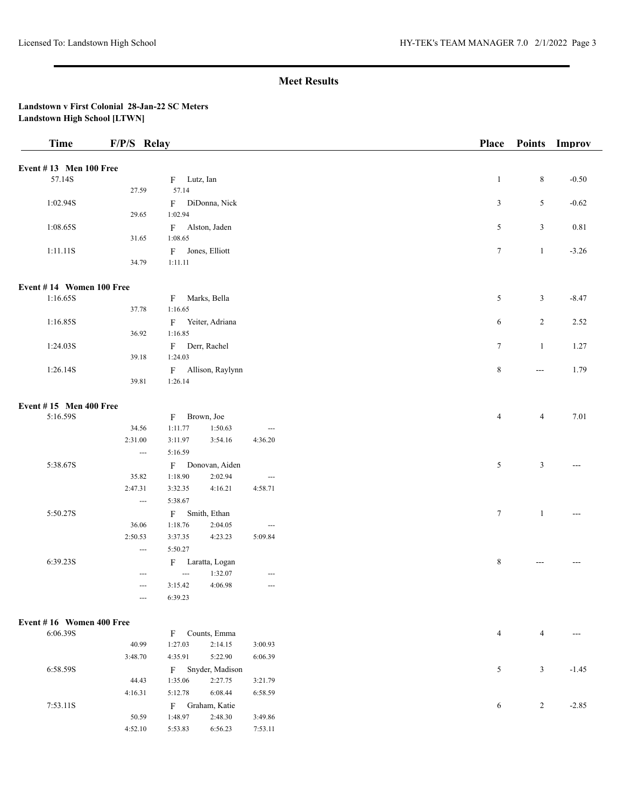| <b>Time</b>                   | F/P/S Relay              |                |                   |                               | Place          |                | Points Improv |
|-------------------------------|--------------------------|----------------|-------------------|-------------------------------|----------------|----------------|---------------|
| <b>Event #13 Men 100 Free</b> |                          |                |                   |                               |                |                |               |
| 57.14S                        |                          | F Lutz, Ian    |                   |                               | $\mathbf{1}$   | $\,8\,$        | $-0.50$       |
|                               | 27.59                    | 57.14          |                   |                               |                |                |               |
| 1:02.94S                      |                          |                | F DiDonna, Nick   |                               | 3              | 5              | $-0.62$       |
|                               | 29.65                    | 1:02.94        |                   |                               |                |                |               |
| 1:08.65S                      |                          |                | F Alston, Jaden   |                               | 5              | 3              | 0.81          |
|                               | 31.65                    | 1:08.65        |                   |                               |                |                |               |
| 1:11.11S                      |                          |                | F Jones, Elliott  |                               | $\tau$         | $\mathbf{1}$   | $-3.26$       |
|                               | 34.79                    | 1:11.11        |                   |                               |                |                |               |
| Event #14 Women 100 Free      |                          |                |                   |                               |                |                |               |
| 1:16.65S                      |                          | F              | Marks, Bella      |                               | 5              | $\mathfrak{Z}$ | $-8.47$       |
|                               | 37.78                    | 1:16.65        |                   |                               |                |                |               |
| 1:16.85S                      |                          |                | F Yeiter, Adriana |                               | 6              | $\overline{2}$ | 2.52          |
|                               | 36.92                    | 1:16.85        |                   |                               |                |                |               |
| 1:24.03S                      |                          |                | F Derr, Rachel    |                               | $\tau$         | $\mathbf{1}$   | 1.27          |
|                               | 39.18                    | 1:24.03        |                   |                               |                |                |               |
| 1:26.14S                      |                          | $F -$          | Allison, Raylynn  |                               | $\,8\,$        | ---            | 1.79          |
|                               | 39.81                    | 1:26.14        |                   |                               |                |                |               |
| Event $#15$ Men 400 Free      |                          |                |                   |                               |                |                |               |
| 5:16.59S                      |                          | $\mathbf{F}$   | Brown, Joe        |                               | $\overline{4}$ | $\overline{4}$ | 7.01          |
|                               | 34.56                    | 1:11.77        | 1:50.63           | $\overline{\phantom{a}}$      |                |                |               |
|                               | 2:31.00                  | 3:11.97        | 3:54.16           | 4:36.20                       |                |                |               |
|                               | $\scriptstyle\cdots$     | 5:16.59        |                   |                               |                |                |               |
| 5:38.67S                      |                          |                | F Donovan, Aiden  |                               | 5              | $\mathfrak z$  |               |
|                               | 35.82                    | 1:18.90        | 2:02.94           | $\overline{\phantom{a}}$      |                |                |               |
|                               | 2:47.31                  | 3:32.35        | 4:16.21           | 4:58.71                       |                |                |               |
|                               | $\hspace{0.05cm} \ldots$ | 5:38.67        |                   |                               |                |                |               |
| 5:50.27S                      |                          | $F -$          | Smith, Ethan      |                               | $\tau$         | $\mathbf{1}$   |               |
|                               | 36.06                    | 1:18.76        | 2:04.05           | $\overline{\phantom{a}}$      |                |                |               |
|                               | 2:50.53                  | 3:37.35        | 4:23.23           | 5:09.84                       |                |                |               |
|                               | $\sim$ $\sim$            | 5:50.27        |                   |                               |                |                |               |
| 6:39.23S                      |                          |                | F Laratta, Logan  |                               | $\,8\,$        | ---            |               |
|                               | $\hspace{0.05cm} \ldots$ | $\overline{a}$ | 1:32.07           | $\hspace{1.5cm} \textbf{---}$ |                |                |               |
|                               | $\hspace{0.05cm} \ldots$ | 3:15.42        | 4:06.98           | $\hspace{0.05cm} \ldots$      |                |                |               |
|                               | ---                      | 6:39.23        |                   |                               |                |                |               |
| Event #16 Women 400 Free      |                          |                |                   |                               |                |                |               |
| 6:06.39S                      |                          | F              | Counts, Emma      |                               | $\overline{4}$ | $\overline{4}$ |               |
|                               | 40.99                    | 1:27.03        | 2:14.15           | 3:00.93                       |                |                |               |
|                               | 3:48.70                  | 4:35.91        | 5:22.90           | 6:06.39                       |                |                |               |
| 6:58.59S                      |                          | F              | Snyder, Madison   |                               | 5              | $\mathfrak{Z}$ | $-1.45$       |
|                               | 44.43                    | 1:35.06        | 2:27.75           | 3:21.79                       |                |                |               |
|                               | 4:16.31                  | 5:12.78        | 6:08.44           | 6:58.59                       |                |                |               |
| 7:53.11S                      |                          | F              | Graham, Katie     |                               | 6              | $\sqrt{2}$     | $-2.85$       |
|                               | 50.59                    | 1:48.97        | 2:48.30           | 3:49.86                       |                |                |               |
|                               | 4:52.10                  | 5:53.83        | 6:56.23           | 7:53.11                       |                |                |               |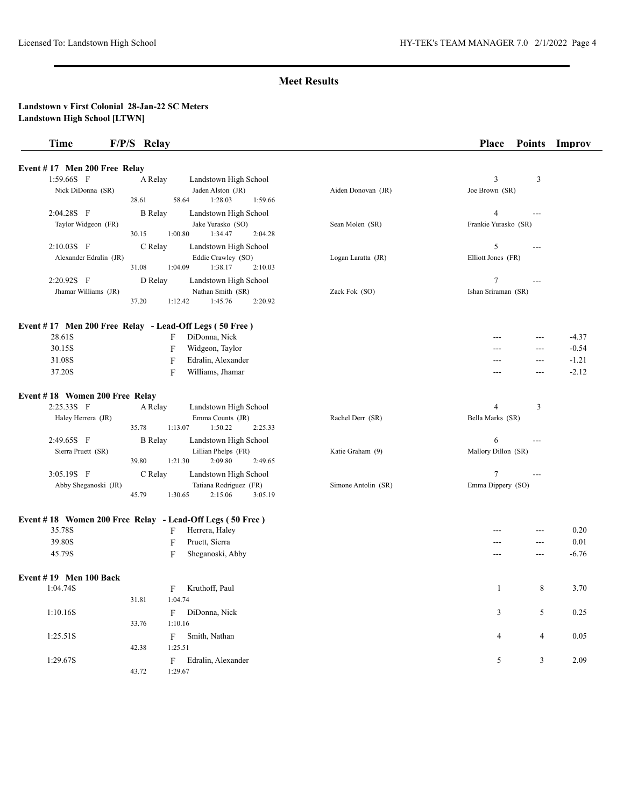| <b>Time</b>                    | F/P/S Relay                                                      |                     | <b>Place</b><br><b>Points</b> | Improv   |
|--------------------------------|------------------------------------------------------------------|---------------------|-------------------------------|----------|
| Event #17 Men 200 Free Relay   |                                                                  |                     |                               |          |
| 1:59.66S F                     | A Relay<br>Landstown High School                                 |                     | 3<br>3                        |          |
| Nick DiDonna (SR)              | Jaden Alston (JR)                                                | Aiden Donovan (JR)  | Joe Brown (SR)                |          |
|                                | 1:28.03<br>1:59.66<br>28.61<br>58.64                             |                     |                               |          |
| 2:04.28S F                     | <b>B</b> Relay<br>Landstown High School                          |                     | $\overline{4}$<br>$---$       |          |
| Taylor Widgeon (FR)            | Jake Yurasko (SO)                                                | Sean Molen (SR)     | Frankie Yurasko (SR)          |          |
|                                | 1:00.80<br>30.15<br>1:34.47<br>2:04.28                           |                     |                               |          |
| 2:10.03S F                     | C Relay<br>Landstown High School                                 |                     | 5<br>---                      |          |
| Alexander Edralin (JR)         | Eddie Crawley (SO)                                               | Logan Laratta (JR)  | Elliott Jones (FR)            |          |
|                                | 31.08<br>1:04.09<br>1:38.17<br>2:10.03                           |                     |                               |          |
| 2:20.92S F                     | D Relay<br>Landstown High School                                 |                     | 7<br>$---$                    |          |
| Jhamar Williams (JR)           | Nathan Smith (SR)                                                | Zack Fok (SO)       | Ishan Sriraman (SR)           |          |
|                                | 1:12.42<br>37.20<br>1:45.76<br>2:20.92                           |                     |                               |          |
|                                | Event #17 Men 200 Free Relay - Lead-Off Legs (50 Free)           |                     |                               |          |
| 28.61S                         | F<br>DiDonna, Nick                                               |                     | $---$                         | $-4.37$  |
| 30.15S                         | F<br>Widgeon, Taylor                                             |                     | ---                           | $-0.54$  |
| 31.08S                         | F<br>Edralin, Alexander                                          |                     | $---$<br>---                  | $-1.21$  |
| 37.20S                         | F<br>Williams, Jhamar                                            |                     | ---<br>$---$                  | $-2.12$  |
| Event #18 Women 200 Free Relay |                                                                  |                     |                               |          |
| 2:25.33S F                     | A Relay<br>Landstown High School                                 |                     | 4<br>3                        |          |
| Haley Herrera (JR)             | Emma Counts (JR)<br>1:50.22<br>35.78<br>1:13.07<br>2:25.33       | Rachel Derr (SR)    | Bella Marks (SR)              |          |
| 2:49.65S F                     | <b>B</b> Relay<br>Landstown High School                          |                     | 6<br>---                      |          |
| Sierra Pruett (SR)             | Lillian Phelps (FR)                                              | Katie Graham (9)    | Mallory Dillon (SR)           |          |
|                                | 2:09.80<br>39.80<br>1:21.30<br>2:49.65                           |                     |                               |          |
| 3:05.19S F                     | C Relay<br>Landstown High School                                 |                     | 7<br>$---$                    |          |
| Abby Sheganoski (JR)           | Tatiana Rodriguez (FR)<br>45.79<br>1:30.65<br>2:15.06<br>3:05.19 | Simone Antolin (SR) | Emma Dippery (SO)             |          |
|                                | Event #18 Women 200 Free Relay - Lead-Off Legs (50 Free)         |                     |                               |          |
| 35.78S                         | Herrera, Haley<br>F                                              |                     | ---                           | 0.20     |
| 39.80S                         | $\mathbf F$<br>Pruett, Sierra                                    |                     | ---<br>---                    | 0.01     |
| 45.79S                         | F<br>Sheganoski, Abby                                            |                     | $---$<br>$---$                | $-6.76$  |
| Event $#19$ Men 100 Back       |                                                                  |                     |                               |          |
| 1:04.74S                       | Kruthoff, Paul<br>$\mathbf{F}$                                   |                     | $\,8\,$<br>$\mathbf{1}$       | 3.70     |
|                                | 1:04.74<br>31.81                                                 |                     |                               |          |
| 1:10.16S                       | DiDonna, Nick<br>F                                               |                     | $\sqrt{5}$<br>3               | 0.25     |
|                                | 1:10.16<br>33.76                                                 |                     |                               |          |
| 1:25.51S                       | Smith, Nathan                                                    |                     | $\overline{4}$                | $0.05\,$ |
|                                | F<br>1:25.51<br>42.38                                            |                     | 4                             |          |
|                                |                                                                  |                     |                               |          |
| 1:29.67S                       | Edralin, Alexander<br>$\mathbf{F}$                               |                     | $\mathfrak{Z}$<br>5           | 2.09     |
|                                | 43.72<br>1:29.67                                                 |                     |                               |          |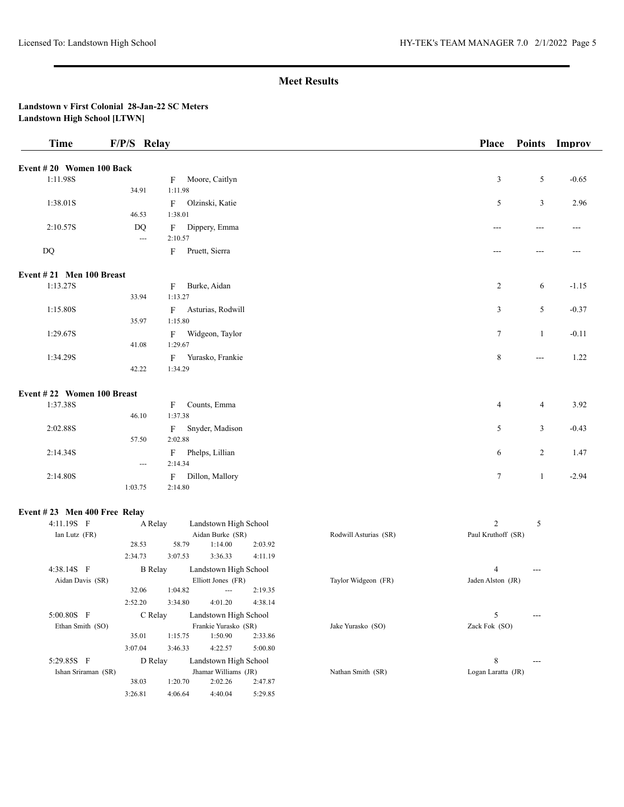| <b>Time</b>                  | F/P/S Relay              |              |                                 |         |                       | Place              | <b>Points</b> | Improv  |
|------------------------------|--------------------------|--------------|---------------------------------|---------|-----------------------|--------------------|---------------|---------|
| Event #20 Women 100 Back     |                          |              |                                 |         |                       |                    |               |         |
| 1:11.98S                     |                          | F            | Moore, Caitlyn                  |         |                       | $\mathfrak{Z}$     | 5             | $-0.65$ |
|                              | 34.91                    | 1:11.98      |                                 |         |                       |                    |               |         |
| 1:38.01S                     |                          | F            | Olzinski, Katie                 |         |                       | 5                  | 3             | 2.96    |
|                              | 46.53                    | 1:38.01      |                                 |         |                       |                    |               |         |
| 2:10.57S                     | DQ                       | F            | Dippery, Emma                   |         |                       | ---                | ---           | ---     |
|                              | $\hspace{0.05cm} \ldots$ | 2:10.57      |                                 |         |                       |                    |               |         |
| DQ                           |                          | $\mathbf{F}$ | Pruett, Sierra                  |         |                       | ---                | ---           |         |
| Event #21 Men 100 Breast     |                          |              |                                 |         |                       |                    |               |         |
| 1:13.27S                     |                          | F            | Burke, Aidan                    |         |                       | $\overline{c}$     | 6             | $-1.15$ |
|                              | 33.94                    | 1:13.27      |                                 |         |                       |                    |               |         |
| 1:15.80S                     |                          | F            | Asturias, Rodwill               |         |                       | 3                  | 5             | $-0.37$ |
|                              | 35.97                    | 1:15.80      |                                 |         |                       |                    |               |         |
| 1:29.67S                     |                          | $\mathbf{F}$ | Widgeon, Taylor                 |         |                       | 7                  | $\mathbf{1}$  | $-0.11$ |
|                              | 41.08                    | 1:29.67      |                                 |         |                       |                    |               |         |
| 1:34.29S                     |                          | F            | Yurasko, Frankie                |         |                       | $\,8\,$            | $\cdots$      | 1.22    |
|                              | 42.22                    | 1:34.29      |                                 |         |                       |                    |               |         |
| Event #22 Women 100 Breast   |                          |              |                                 |         |                       |                    |               |         |
| 1:37.38S                     |                          | F            | Counts, Emma                    |         |                       | $\overline{4}$     | 4             | 3.92    |
|                              | 46.10                    | 1:37.38      |                                 |         |                       |                    |               |         |
| 2:02.88S                     |                          | $\mathbf{F}$ | Snyder, Madison                 |         |                       | 5                  | 3             | $-0.43$ |
|                              | 57.50                    | 2:02.88      |                                 |         |                       |                    |               |         |
| 2:14.34S                     |                          | $\mathbf F$  | Phelps, Lillian                 |         |                       | 6                  | 2             | 1.47    |
|                              | $\hspace{0.05cm} \ldots$ | 2:14.34      |                                 |         |                       |                    |               |         |
| 2:14.80S                     | 1:03.75                  | F<br>2:14.80 | Dillon, Mallory                 |         |                       | 7                  | $\mathbf{1}$  | $-2.94$ |
|                              |                          |              |                                 |         |                       |                    |               |         |
| Event #23 Men 400 Free Relay |                          |              |                                 |         |                       |                    |               |         |
| 4:11.19S F                   | A Relay                  |              | Landstown High School           |         |                       | 2                  | 5             |         |
| Ian Lutz (FR)                | 28.53                    | 58.79        | Aidan Burke (SR)<br>1:14.00     | 2:03.92 | Rodwill Asturias (SR) | Paul Kruthoff (SR) |               |         |
|                              | 2:34.73                  | 3:07.53      | 3:36.33                         | 4:11.19 |                       |                    |               |         |
| 4:38.14S F                   | <b>B</b> Relay           |              | Landstown High School           |         |                       | 4                  |               |         |
| Aidan Davis (SR)             |                          |              | Elliott Jones (FR)              |         | Taylor Widgeon (FR)   | Jaden Alston (JR)  |               |         |
|                              | 32.06                    | 1:04.82      | $\cdots$                        | 2:19.35 |                       |                    |               |         |
|                              | 2:52.20                  | 3:34.80      | 4:01.20                         | 4:38.14 |                       |                    |               |         |
| 5:00.80S F                   | C Relay                  |              | Landstown High School           |         |                       | 5                  | ---           |         |
| Ethan Smith (SO)             |                          |              | Frankie Yurasko (SR)            |         | Jake Yurasko (SO)     | Zack Fok (SO)      |               |         |
|                              | 35.01                    | 1:15.75      | 1:50.90                         | 2:33.86 |                       |                    |               |         |
|                              | 3:07.04                  | 3:46.33      | 4:22.57                         | 5:00.80 |                       |                    |               |         |
| 5:29.85S F                   | D Relay                  |              | Landstown High School           |         |                       | $\,8\,$            |               |         |
| Ishan Sriraman (SR)          | 38.03                    | 1:20.70      | Jhamar Williams (JR)<br>2:02.26 | 2:47.87 | Nathan Smith (SR)     | Logan Laratta (JR) |               |         |
|                              | 3:26.81                  | 4:06.64      | 4:40.04                         | 5:29.85 |                       |                    |               |         |